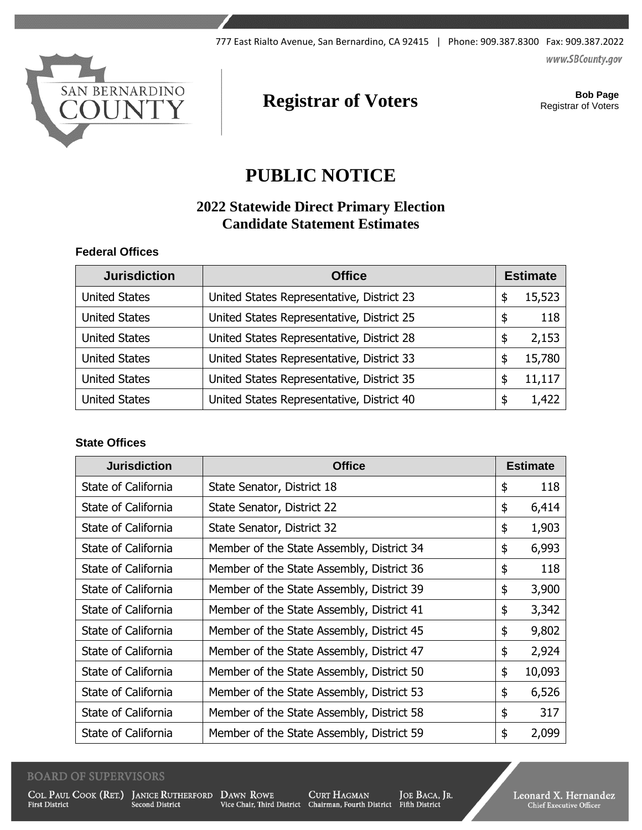www.SBCounty.gov



# **Registrar of Voters Bob Page**<br>Registrar of Voters

Registrar of Voters

## **PUBLIC NOTICE**

## **2022 Statewide Direct Primary Election Candidate Statement Estimates**

#### **Federal Offices**

| <b>Jurisdiction</b>  | <b>Office</b>                             |    | <b>Estimate</b> |  |
|----------------------|-------------------------------------------|----|-----------------|--|
| <b>United States</b> | United States Representative, District 23 | \$ | 15,523          |  |
| <b>United States</b> | United States Representative, District 25 | \$ | 118             |  |
| <b>United States</b> | United States Representative, District 28 | \$ | 2,153           |  |
| <b>United States</b> | United States Representative, District 33 | S  | 15,780          |  |
| <b>United States</b> | United States Representative, District 35 | \$ | 11,117          |  |
| <b>United States</b> | United States Representative, District 40 | \$ | 1,422           |  |

#### **State Offices**

| <b>Jurisdiction</b> | <b>Office</b>                             | <b>Estimate</b> |        |
|---------------------|-------------------------------------------|-----------------|--------|
| State of California | State Senator, District 18                | \$              | 118    |
| State of California | State Senator, District 22                | \$              | 6,414  |
| State of California | State Senator, District 32                | \$              | 1,903  |
| State of California | Member of the State Assembly, District 34 | \$              | 6,993  |
| State of California | Member of the State Assembly, District 36 | \$              | 118    |
| State of California | Member of the State Assembly, District 39 | \$              | 3,900  |
| State of California | Member of the State Assembly, District 41 | \$              | 3,342  |
| State of California | Member of the State Assembly, District 45 | \$              | 9,802  |
| State of California | Member of the State Assembly, District 47 | \$              | 2,924  |
| State of California | Member of the State Assembly, District 50 | \$              | 10,093 |
| State of California | Member of the State Assembly, District 53 | \$              | 6,526  |
| State of California | Member of the State Assembly, District 58 | \$              | 317    |
| State of California | Member of the State Assembly, District 59 | \$              | 2,099  |

#### **BOARD OF SUPERVISORS**

**First District** 

COL. PAUL COOK (RET.) JANICE RUTHERFORD DAWN ROWE Second District

 $\begin{tabular}{lcl} {\bf DAWN}~{\bf RowE} & {\bf CURT~HAGMAN} & {\bf JOE~BACA, JR.} \\ {\bf Vice~Chair, Third District} & {\bf Chairman, Fourth District} & {\bf Fifth District} \\ \end{tabular}$